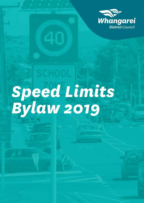

# *Speed Limits Bylaw 2019*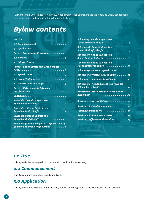Pursuant to the Land Transport Act 1998, Whangarei District Council makes the following Bylaw about speed limits and urban traffic areas in the Whangarei District.

# *Bylaw contents*

| 1 <mark>.0 Title ......................</mark>                                                             |  |
|------------------------------------------------------------------------------------------------------------|--|
| 2.0 Commencement 2                                                                                         |  |
| 3.0 Application 2                                                                                          |  |
| Part 1 - Preliminary Provisions. 3                                                                         |  |
|                                                                                                            |  |
| 5.0 Interpretation $\ldots \ldots \ldots \ldots \ldots$ 3                                                  |  |
| <b>Part 2 - Speed Limits and Urban Traffic</b>                                                             |  |
|                                                                                                            |  |
| 6.0 Speed Limits $\overline{\phantom{a}\cdots\cdots\cdots\cdots\cdots\cdots}$                              |  |
| 7.0 Urban Traffic Areas. $\dots\dots\dots\dots$                                                            |  |
| 8.0 Descriptions and maps 3                                                                                |  |
| Part 3 - Enforcement, Offences<br>and Penalties. 3                                                         |  |
|                                                                                                            |  |
| <b>Schedule 1: Roads Subject to a</b><br>Speed Limit of $20km/h$ 4                                         |  |
| Schedule 2: Roads Subject to a<br>Speed Limit of $3$ okm/h4                                                |  |
| Schedule 3: Roads Subject to a<br>Speed Limit of $40km/h$ . $\ldots$ $\ldots$ $\ldots$ $\ldots$ $\ldots$ 5 |  |
| <b>Schedule 4: Roads Subject to a Speed Limit of</b><br>50km/h and Urban Traffic Areas 6                   |  |

| Schedule 5: Roads Subject to a<br>Speed Limit of 60km/h8                 |
|--------------------------------------------------------------------------|
| Schedule 6: Roads Subject to a<br>Speed Limit of 70km/h. 9               |
| <b>Schedule 7: Roads Subject to a</b><br>Speed Limit of 80km/h 10        |
| <b>Schedule 8: Roads Subject to a</b><br>Speed Limit of 100km/h 11       |
| Schedule 9: Seasonal Speed Limits 11                                     |
| Schedule 10: Variable Speed Limit 12                                     |
| Schedule 11: Minimum Speed Limit 12                                      |
| <b>Schedule 12: Roads Subject to a Variable</b><br>School Speed Limit 12 |
| <b>Additional information to Speed Limits</b>                            |
|                                                                          |
| Section 1: History of Bylaw 14                                           |
| Section 2: Related Documents. 14                                         |
| Section 3: Delegations 15                                                |
| Section 4: Enforcement Powers 15                                         |
| Section 5: Offences and Penalties. 15                                    |

## *1.0 Title*

This Bylaw is the Whangarei District Council Speed Limits Bylaw 2019.

### *2.0 Commencement*

This Bylaw comes into effect on 28 June 2019.

## *3.0 Application*

This Bylaw applies to roads under the care, control or management of the Whangarei District Council.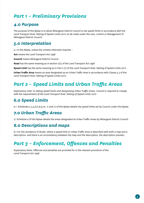# <span id="page-2-0"></span>*Part 1 – Preliminary Provisions*

## *4.0 Purpose*

The purpose of this Bylaw is to allow Whangarei District Council to set speed limits in accordance with the Land Transport Rule: Setting of Speed Limits 2017 on all roads under the care, control or Management of Whangarei District Council.

## *5.0 Interpretation*

5.1 In this Bylaw, unless the context otherwise requires –

**Act** means the Land Transport Act 1998

**Council** means Whangarei District Council

**Road** has the same meaning as in section 2(1) of the Land Transport Act 1998

**Speed Limit** has the same meaning as in Part 2 (1) of the Land Transport Rule: Setting of Speed Limits 2017

**Urban Traffic Area** means an area designated as an Urban Traffic Area in accordance with Clause 3.5 of the Land Transport Rule: Setting of Speed Limits 2017:

# *Part 2 – Speed Limits and Urban Traffic Areas*

*Explanatory note: In setting speed limits and designating Urban Traffic Areas, Council is required to comply with the requirements of the Land Transport Rule: Setting of Speed Limits 2017.* 

## *6.0 Speed Limits*

6.1 Schedules 2,3,5,6,7,8,9,10, 11 and 12 of this Bylaw details the speed limits set by Council under this Bylaw.

## *7.0 Urban Traffic Areas*

7.1 Schedule 4 of this Bylaw details the areas designated as Urban Traffic Areas by Whangarei District Council.

## *8.0 Descriptions and maps*

8.1 For the avoidance of doubt, where a speed limit or Urban Traffic Area is described with both a map and a description, and there is an inconsistency between the map and the description, the description prevails.

# *Part 3 – Enforcement, Offences and Penalties*

Explanatory Note: Offences and penalties are provided for in the relevant provisions of the Land Transport Act 1998.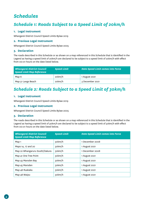## <span id="page-3-0"></span>*Schedules*

## *Schedule 1: Roads Subject to a Speed Limit of 20km/h*

#### **1. Legal Instrument**

Whangarei District Council Speed Limits Bylaw 2019

#### **2. Previous Legal Instrument**

Whangarei District Council Speed Limits Bylaw 2005

#### **3. Declaration**

The roads described in this Schedule or as shown on a map referenced in this Schedule that is identified in the Legend as having a speed limit of 20km/h are declared to be subject to a speed limit of 20km/h with effect from 00:01 hours on the date listed below.

| <b>Whangarei District Council</b><br><b>Speed Limit Map Reference</b> | <b>Speed Limit</b> | <b>Date Speed Limit comes into Force</b> |
|-----------------------------------------------------------------------|--------------------|------------------------------------------|
| Map 6                                                                 | 20km/h             | 1 August 2021                            |
| Map 51 Langs Beach                                                    | 20km/h             | 3 December 2021                          |

## *Schedule 2: Roads Subject to a Speed Limit of 30km/h*

#### **1. Legal Instrument**

Whangarei District Council Speed Limits Bylaw 2019

#### **2. Previous Legal Instrument**

Whangarei District Council Speed Limits Bylaw 2005

#### **3. Declaration**

The roads described in this Schedule or as shown on a map referenced in this Schedule that is identified in the Legend as having a speed limit of 30km/h are declared to be subject to a speed limit of 30km/h with effect from 00:01 hours on the date listed below.

| <b>Whangarei District Council</b><br><b>Speed Limit Map Reference</b> | <b>Speed Limit</b> | <b>Date Speed Limit comes into Force</b> |
|-----------------------------------------------------------------------|--------------------|------------------------------------------|
| Map 1                                                                 | 30km/h             | 1 December 2008                          |
| Maps 14, 17 and 20                                                    | 30km/h             | 1 August 2021                            |
| Map 22 Whangaruru South/Oakura                                        | 30km/h             | 1 December 2008                          |
| Map 41 One Tree Point                                                 | 30km/h             | 1 August 2021                            |
| Map 43 Marsden Bay                                                    | 30km/h             | 1 August 2021                            |
| Map 45 Marsden                                                        | 30km/h             | 1 August 2021                            |
| Map 46 Ruakaka                                                        | 30km/h             | 1 August 2021                            |
| Map 48 Waipu                                                          | 30km/h             | 1 August 2021                            |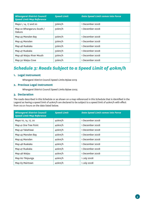<span id="page-4-0"></span>

| <b>Whangarei District Council</b><br><b>Speed Limit Map Reference</b> | <b>Speed Limit</b> | <b>Date Speed Limit comes into Force</b> |
|-----------------------------------------------------------------------|--------------------|------------------------------------------|
| Maps 1, 14, 17 and 20                                                 | 30km/h             | 1 December 2008                          |
| Map 22 Whangaruru South /<br>Oakura                                   | 30km/h             | 1 December 2008                          |
| Map 43 Marsden Bay                                                    | 30km/h             | 1 December 2008                          |
| Map 45 Marsden                                                        | 30km/h             | 1 December 2008                          |
| Map 46 Ruakaka                                                        | 30km/h             | 1 December 2008                          |
| Map 47 Ruakaka                                                        | 30km/h             | 1 December 2008                          |
| Map 48 Waipu River Mouth                                              | 30km/h             | 1 December 2008                          |
| Map 50 Waipu Cove                                                     | 30km/h             | 1 December 2008                          |

## *Schedule 3: Roads Subject to a Speed Limit of 40km/h*

#### **1. Legal Instrument**

Whangarei District Council Speed Limits Bylaw 2019

#### **2. Previous Legal Instrument**

Whangarei District Council Speed Limits Bylaw 2005

#### **3. Declaration**

The roads described in this Schedule or as shown on a map referenced in this Schedule that is identified in the Legend as having a speed limit of 40km/h are declared to be subject to a speed limit of 40km/h with effect from 00:01 hours on the date listed below.

| <b>Whangarei District Council</b><br><b>Speed Limit Map Reference</b> | <b>Speed Limit</b> | <b>Date Speed Limit comes into Force</b> |
|-----------------------------------------------------------------------|--------------------|------------------------------------------|
| Maps 10, 14, 17, 20                                                   | 40km/h             | 1 December 2008                          |
| Map 41 One Tree Point                                                 | 40km/h             | 1 December 2008                          |
| Map 42 Takahiwai                                                      | 40km/h             | 1 December 2008                          |
| Map 43 Marsden Bay                                                    | 40km/h             | 1 December 2008                          |
| Map 45 Marsden                                                        | 40km/h             | 1 December 2008                          |
| Map 46 Ruakaka                                                        | 40km/h             | 1 December 2008                          |
| Map 47 Ruakaka                                                        | 40km/h             | 1 December 2008                          |
| Map 48 Waipu                                                          | 40km/h             | 1 December 2008                          |
| Map 60 Tikipunga                                                      | 40km/h             | 1 July 2008                              |
| Map 63 Mairtown                                                       | 40km/h             | 1 July 2008                              |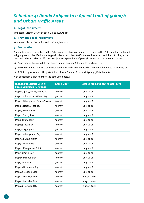## <span id="page-5-0"></span>*Schedule 4: Roads Subject to a Speed Limit of 50km/h and Urban Traffic Areas*

#### **1. Legal Instrument**

Whangarei District Council Speed Limits Bylaw 2019

#### **2. Previous Legal Instrument**

Whangarei District Council Speed Limits Bylaw 2005

#### **3. Declaration**

The roads or areas described in this Schedule or as shown on a map referenced in this Schedule that is shaded in light green or identified in the Legend as being an Urban Traffic Area or having a speed limit of 50km/h are declared to be an Urban Traffic Area subject to a speed limit of 50km/h, except for those roads that are:

- a) Described as having a different speed limit in another Schedule to this Bylaw; or
- b) Shown on a map to have a different speed limit and are referenced in another Schedule to this Bylaw; or
- c) A State Highway under the jurisdiction of New Zealand Transport Agency (Waka Kotahi)

| <b>Whangarei District Council</b><br><b>Speed Limit Map Reference</b> | <b>Speed Limit</b> | <b>Date Speed Limit comes into Force</b> |
|-----------------------------------------------------------------------|--------------------|------------------------------------------|
| Maps 1, 3, 5-7, 10-14, 17 and 20                                      | 50km/h             | 1 July 2008                              |
| Map 21 Whangaruru/Bland Bay                                           | 50km/h             | 1 July 2008                              |
| Map 22 Whangaruru South/Oakura                                        | 50km/h             | 1 July 2008                              |
| Map 23 Helena/Teal Bay                                                | 50km/h             | 1 July 2008                              |
| Map 25 Whananaki                                                      | 50km/h             | 1 July 2008                              |
| Map 27 Sandy Bay                                                      | 50km/h             | 1 July 2008                              |
| Map 28 Matapouri                                                      | 50km/h             | 1 July 2008                              |
| Map 29 Tutukaka                                                       | 50km/h             | 1 July 2008                              |
| Map 30 Ngunguru                                                       | 50km/h             | 1 July 2008                              |
| Map 31 Whangaumu Bay                                                  | 50km/h             | 1 July 2008                              |
| Map 32 Pataua North                                                   | 50km/h             | 1 July 2008                              |
| Map 34 Waikaraka                                                      | 50km/h             | 1 July 2008                              |
| Map 35 Manganese Point                                                | 50km/h             | 1 July 2008                              |
| Map 36 Parua Bay                                                      | 50km/h             | 1 July 2008                              |
| Map 37 McLeod Bay                                                     | 50km/h             | 1 July 2008                              |
| Map 38 Reotahi                                                        | 50km/h             | 1 July 2008                              |
| Map 39 Urquharts Bay                                                  | 50km/h             | 1 July 2008                              |
| Map 40 Ocean Beach                                                    | 50km/h             | 1 July 2008                              |
| Map 41 One Tree Point                                                 | 50km/h             | 1 August 2021                            |
| Map 43 Marsden Bay                                                    | 50km/h             | 1 August 2021                            |
| Map 44 Marsden City                                                   | 50km/h             | 1 August 2021                            |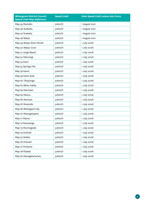| <b>Whangarei District Council</b><br><b>Speed Limit Map Reference</b> | <b>Speed Limit</b> | <b>Date Speed Limit comes into Force</b> |
|-----------------------------------------------------------------------|--------------------|------------------------------------------|
| Map 45 Marsden                                                        | 50km/h             | 1 August 2021                            |
| Map 46 Ruakaka                                                        | 50km/h             | 1 August 2021                            |
| Map 47 Ruakaka                                                        | 50km/h             | 1 August 2021                            |
| Map 48 Waipu                                                          | 50km/h             | 1 August 2021                            |
| Map 49 Waipu River Mouth                                              | 50km/h             | 1 July 2008                              |
| Map 50 Waipu Cove                                                     | 50km/h             | 1 July 2008                              |
| Map 51 Langs Beach                                                    | 50km/h             | 1 July 2008                              |
| Map 52 Hikurangi                                                      | 50km/h             | 1 July 2008                              |
| Map 53 Kauri                                                          | 50km/h             | 1 July 2008                              |
| Map 55 Springs Flat                                                   | 50km/h             | 1 July 2008                              |
| Map 58 Kamo                                                           | 50km/h             | 1 July 2008                              |
| Map 59 Kamo East                                                      | 50km/h             | 1 July 2008                              |
| Map 60 Tikupunga                                                      | 50km/h             | 1 July 2008                              |
| Map 62 Whau Valley                                                    | 50km/h             | 1 July 2008                              |
| Map 63 Mairtown                                                       | 50km/h             | 1 July 2008                              |
| Map 65 Maunu                                                          | 50km/h             | 1 July 2008                              |
| Map 66 Avenues                                                        | 50km/h             | 1 July 2008                              |
| Map 67 Riverside                                                      | 50km/h             | 1 July 2008                              |
| Map 68 Whangarei City                                                 | 50km/h             | 1 July 2008                              |
| Map 70 Maungatapere                                                   | 50km/h             | 1 July 2008                              |
| Map 71 Maunu                                                          | 50km/h             | 1 July 2008                              |
| Map 72 Raumanga                                                       | 50km/h             | 1 July 2008                              |
| Map 73 Morningside                                                    | 50km/h             | 1 July 2008                              |
| Map 74 Onerahi                                                        | 50km/h             | 1 July 2008                              |
| Map 75 Otaika                                                         | 50km/h             | 1 July 2008                              |
| Map 76 Onerahi                                                        | 50km/h             | 1 July 2008                              |
| Map 77 Portland                                                       | 50km/h             | 1 July 2008                              |
| Map 78 Pipiwai                                                        | 50km/h             | 1 July 2008                              |
| Map 82 Maungakaramea                                                  | 50km/h             | 1 July 2008                              |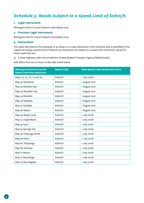## <span id="page-7-0"></span>*Schedule 5: Roads Subject to a Speed Limit of 60km/h*

#### **1. Legal Instrument**

Whangarei District Council Speed Limits Bylaw 2019

#### **2. Previous Legal Instrument**

Whangarei District Council Speed Limits Bylaw 2005

#### **3. Declaration**

The roads described in this Schedule or as shown on a map referenced in this Schedule that is identified in the Legend as having a speed limit of 60km/h are declared to be subject to a speed limit of 60km/h, except for those roads that are:

a) A State Highway under the jurisdiction of New Zealand Transport Agency (Waka Kotahi)

| <b>Whangarei District Council</b><br><b>Speed Limit Map Reference</b> | <b>Speed Limit</b> | <b>Date Speed Limit comes into Force</b> |
|-----------------------------------------------------------------------|--------------------|------------------------------------------|
| Maps 10, 14, 16, 17 and 20                                            | 60km/h             | 1 July 2008                              |
| Map 42 Takahiwai                                                      | 60km/h             | 1 August 2021                            |
| Map 43 Marsden Bay                                                    | 60km/h             | 1 August 2021                            |
| Map 44 Marsden City                                                   | 60km/h             | 1 August 2021                            |
| Map 45 Marsden                                                        | 60km/h             | 1 August 2021                            |
| Map 46 Ruakaka                                                        | 60km/h             | 1 August 2021                            |
| Map 47 Ruakaka                                                        | 60km/h             | 1 August 2021                            |
| Map 48 Waipu                                                          | 60km/h             | 1 August 2021                            |
| Map 50 Waipu Cove                                                     | 60km/h             | 1 July 2008                              |
| Map 51 Langs Beach                                                    | 60km/h             | 1 July 2008                              |
| Map 53 Kauri                                                          | 60km/h             | 1 July 2008                              |
| Map 55 Springs Flat                                                   | 60km/h             | 1 July 2008                              |
| Map 56 Tikipunga North                                                | 60km/h             | 1 July 2008                              |
| Map 58 Kamo                                                           | 60km/h             | 1 July 2008                              |
| Map 60 Tikupunga                                                      | 60km/h             | 1 July 2008                              |
| Map 66 Avenues                                                        | 60km/h             | 1 July 2008                              |
| Map 71 Maunu                                                          | 60km/h             | 1 July 2008                              |
| Map 72 Raumanga                                                       | 60km/h             | 1 July 2008                              |
| Map 73 Morningside                                                    | 60km/h             | 1 July 2008                              |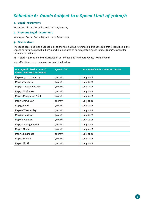## <span id="page-8-0"></span>*Schedule 6: Roads Subject to a Speed Limit of 70km/h*

#### **1. Legal Instrument**

Whangarei District Council Speed Limits Bylaw 2019

#### **2. Previous Legal Instrument**

Whangarei District Council Speed Limits Bylaw 2005

#### **3. Declaration**

The roads described in this Schedule or as shown on a map referenced in this Schedule that is identified in the Legend as having a speed limit of 70km/h are declared to be subject to a speed limit of 70km/h, except for those roads that are:

a) A State Highway under the jurisdiction of New Zealand Transport Agency (Waka Kotahi)

| <b>Whangarei District Council</b><br><b>Speed Limit Map Reference</b> | <b>Speed Limit</b> | <b>Date Speed Limit comes into Force</b> |
|-----------------------------------------------------------------------|--------------------|------------------------------------------|
| Maps 6, 9, 10, 13 and 14                                              | 70km/h             | 1 July 2008                              |
| Map 29 Tutukaka                                                       | 70km/h             | 1 July 2008                              |
| Map 31 Whangaumu Bay                                                  | 70km/h             | 1 July 2008                              |
| Map 34 Waikaraka                                                      | 70km/h             | 1 July 2008                              |
| Map 35 Manganese Point                                                | 70km/h             | 1 July 2008                              |
| Map 36 Parua Bay                                                      | 70km/h             | 1 July 2008                              |
| Map 53 Kauri                                                          | 70km/h             | 1 July 2008                              |
| Map 62 Whau Valley                                                    | 70km/h             | 1 July 2008                              |
| Map 63 Mairtown                                                       | 70km/h             | 1 July 2008                              |
| Map 66 Avenues                                                        | 70km/h             | 1 July 2008                              |
| Map 70 Maungatapere                                                   | 70km/h             | 1 July 2008                              |
| Map 71 Maunu                                                          | 70km/h             | 1 July 2008                              |
| Map 72 Raumanga                                                       | 70km/h             | 1 July 2008                              |
| Map 74 Onerahi                                                        | 70km/h             | 1 July 2008                              |
| Map 81 Titoki                                                         | 70km/h             | 1 July 2008                              |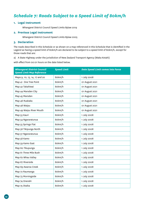## <span id="page-9-0"></span>*Schedule 7: Roads Subject to a Speed Limit of 80km/h*

#### **1. Legal Instrument**

Whangarei District Council Speed Limits Bylaw 2019

#### **2. Previous Legal Instrument**

Whangarei District Council Speed Limits Bylaw 2005

#### **3. Declaration**

The roads described in this Schedule or as shown on a map referenced in this Schedule that is identified in the Legend as having a speed limit of 80km/h are declared to be subject to a speed limit of 80km/h, except for those roads that are:

a) A State Highway under the jurisdiction of New Zealand Transport Agency (Waka Kotahi)

| <b>Whangarei District Council</b><br><b>Speed Limit Map Reference</b> | <b>Speed Limit</b> | <b>Date Speed Limit comes into Force</b> |
|-----------------------------------------------------------------------|--------------------|------------------------------------------|
| Maps 9, 10, 13, 14, 17 and 20                                         | 80km/h             | 1 July 2008                              |
| Map 41 One Tree Point                                                 | 80km/h             | 01 August 2021                           |
| Map 42 Takahiwai                                                      | 80km/h             | 01 August 2021                           |
| Map 44 Marsden City                                                   | 80km/h             | 01 August 2021                           |
| Map 45 Marsden                                                        | 80km/h             | 01 August 2021                           |
| Map 46 Ruakaka                                                        | 80km/h             | 01 August 2021                           |
| Map 48 Waipu                                                          | 80km/h             | 01 August 2021                           |
| Map 49 Waipu River Mouth                                              | 80km/h             | 01 August 2021                           |
| Map 53 Kauri                                                          | 80km/h             | 1 July 2008                              |
| Map 54 Ngararatunua                                                   | 80km/h             | 1 July 2008                              |
| Map 55 Springs Flat                                                   | 80km/h             | 1 July 2008                              |
| Map 56 Tikipunga North                                                | 80km/h             | 1 July 2008                              |
| Map 57 Ngararatunua                                                   | 80km/h             | 1 July 2008                              |
| Map 58 Kamo                                                           | 80km/h             | 1 July 2008                              |
| Map 59 Kamo East                                                      | 80km/h             | 1 July 2008                              |
| Map 60 Tikupunga                                                      | 80km/h             | 1 July 2008                              |
| Map 61 Three Mile Bush                                                | 80km/h             | 1 July 2008                              |
| Map 62 Whau Valley                                                    | 80km/h             | 1 July 2008                              |
| Map 67 Riverside                                                      | 80km/h             | 1 July 2008                              |
| Map 69 Awaroa Creek                                                   | 80km/h             | 1 July 2008                              |
| Map 72 Raumanga                                                       | 80km/h             | 1 July 2008                              |
| Map 73 Morningside                                                    | 80km/h             | 1 July 2008                              |
| Map 74 Onerahi                                                        | 80km/h             | 1 July 2008                              |
| Map 75 Otaika                                                         | 80km/h             | 1 July 2008                              |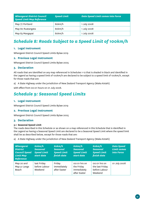<span id="page-10-0"></span>

| <b>Whangarei District Council</b><br><b>Speed Limit Map Reference</b> | <b>Speed Limit</b> | <b>Date Speed Limit comes into Force</b> |
|-----------------------------------------------------------------------|--------------------|------------------------------------------|
| Map 77 Portland                                                       | 80km/h             | 1 July 2008                              |
| Map 80 Ruatangata                                                     | 80km/h             | 1 July 2008                              |
| Map 83 Mangapai                                                       | 80km/h             | 1 July 2008                              |

## *Schedule 8: Roads Subject to a Speed Limit of 100km/h*

#### **1. Legal Instrument**

Whangarei District Council Speed Limits Bylaw 2019

#### **2. Previous Legal Instrument**

Whangarei District Council Speed Limits Bylaw 2005

#### **3. Declaration**

All roads that are identified on any map referenced in Schedules 1-12 that is shaded in black and identified in the Legend as having a speed limit of 100km/h are declared to be subject to a speed limit of 100km/h, except for those roads that are:

a) A State Highway under the jurisdiction of New Zealand Transport Agency (Waka Kotahi)

with effect from 00:01 hours on 01 July 2008.

## *Schedule 9: Seasonal Speed Limits*

#### **1. Legal Instrument**

Whangarei District Council Speed Limits Bylaw 2019

#### **2. Previous Legal Instrument**

Whangarei District Council Speed Limits Bylaw 2005

#### **3. Declaration**

#### **3.1 Seasonal Speed Limit**

The roads described in this Schedule or as shown on a map referenced in this Schedule that is identified in the Legend as having a Seasonal Speed Limit are declared to be a Seasonal Speed Limit where the speed limit shall be as described below, except for those roads that are:

a) A State Highway under the jurisdiction of New Zealand Transport Agency (Waka Kotahi)

| Whangarei<br><b>District</b><br><b>Council Speed</b><br><b>Limit Map</b><br><b>Reference</b> | 60km/h<br><b>Seasonal</b><br><b>Speed Limit</b><br>start date | 60km/h<br><b>Seasonal</b><br><b>Speed Limit</b><br>finish date | 60km/h<br><b>Seasonal</b><br><b>Speed Limit</b><br>start date | 60km/h<br><b>Seasonal</b><br><b>Speed Limit</b><br>finish date | <b>Date Speed</b><br><b>Limit comes</b><br>into Force |
|----------------------------------------------------------------------------------------------|---------------------------------------------------------------|----------------------------------------------------------------|---------------------------------------------------------------|----------------------------------------------------------------|-------------------------------------------------------|
| Map 20 and<br>Map 51 Langs<br>Beach                                                          | last Friday<br>before Labour<br>Weekend                       | Friday<br>immediately<br>after Easter                          | 00:01 hrs on<br>the Friday<br>immediately<br>after Easter     | 00:01 hrs on<br>the last Friday<br>before Labour<br>Weekend    | 01 July 2008                                          |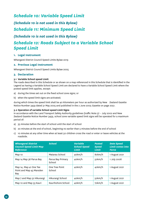# <span id="page-11-0"></span>*Schedule 10: Variable Speed Limit (Schedule 10 is not used in this Bylaw) Schedule 11: Minimum Speed Limit (Schedule 10 is not used in this Bylaw) Schedule 12: Roads Subject to a Variable School*

#### **1. Legal Instrument**

*Speed Limit*

Whangarei District Council Speed Limits Bylaw 2019

#### **2. Previous Legal Instrument**

Whangarei District Council Speed Limits Bylaw 2005

#### **3. Declaration**

#### **3.1 Variable School speed Limit**

The roads described in this Schedule or as shown on a map referenced in this Schedule that is identified in the Legend as having a Variable School Speed Limit are declared to have a Variable School Speed Limit where the posted speed limit applies, except:

- a) during the times set out on the fixed school zone signs; or
- b) when the speed limit signs are activated;

during which times the speed limit shall be 40 kilometers per hour as authorized by New Zealand Gazette Notice Number 3459 dated 31 May 2005 and published in the 2 June 2005 Gazette on page 2051.

#### **3.2 Operation of variable School speed Limit Signs**

In accordance with the Land Transport Safety Authority guidelines (traffic Note 37 – July 2002 and New Zealand Gazette Notice Number 3459, school zone variable speed limit signs will be operated for a maximum period of:

- a) 35 minutes before the start of school until the start of school
- b) 20 minutes at the end of school, beginning no earlier than 5 minutes before the end of school
- c) 10 minutes at any other time when at least 50 children cross the road or enter or leave vehicles at the roadside.

| <b>Whangarei District</b><br><b>Council Speed Limit Map</b><br>Reference | <b>School</b>               | <b>Variable</b><br><b>School Speed</b><br>Limit | <b>Posted</b><br><b>Speed</b><br><b>Limit</b> | <b>Date Speed</b><br><b>Limit comes into</b><br><b>Force</b> |
|--------------------------------------------------------------------------|-----------------------------|-------------------------------------------------|-----------------------------------------------|--------------------------------------------------------------|
| Map 10                                                                   | Matarau School              | 40km/h                                          | 80km/h                                        | 1 August 2021                                                |
| Map 14 Map 36 Parua Bay                                                  | Parua Bay Primary<br>School | 40km/h                                          | 50km/h                                        | 1 July 2008                                                  |
| Map 14, Map 41 One Tee<br>Point and Map 43 Marsden<br>Bay                | One Tree Point<br>School    | 40km/h                                          | 40km/h                                        | 1 August 2021                                                |
| Map 7 and Map 52 Hikurangi                                               | Hikurangi School            | 40km/h                                          | 50km/h                                        | 1 August 2021                                                |
| Map 10 and Map 53 Kauri                                                  | Kaurihohore School          | 40km/h                                          | 70km/h                                        | 1 August 2021                                                |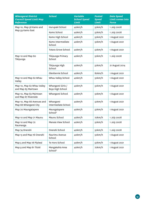| <b>Whangarei District</b><br><b>Council Speed Limit Map</b><br>Reference | <b>School</b>                         | <b>Variable</b><br><b>School Speed</b><br>Limit | <b>Posted</b><br><b>Speed</b><br><b>Limit</b> | <b>Date Speed</b><br>Limit comes into<br><b>Force</b> |
|--------------------------------------------------------------------------|---------------------------------------|-------------------------------------------------|-----------------------------------------------|-------------------------------------------------------|
| Map 10, Map 58 Kamo and                                                  | Hurupaki School                       | 40km/h                                          | 50km/h                                        | 1 July 2008                                           |
| Map 59 Kamo East                                                         | Kamo School                           | 40km/h                                          | 50km/h                                        | 1 July 2008                                           |
|                                                                          | Kamo High School                      | 40km/h                                          | 50km/h                                        | 1 August 2021                                         |
|                                                                          | Kamo Intermediate<br>School           | 40km/h                                          | 50km/h                                        | 1 August 2021                                         |
|                                                                          | Totara Grove School                   | 40km/h                                          | 50km/h                                        | 1 August 2021                                         |
| Map 10 and Map 60<br>Tikipunga                                           | Tikipunga Primary<br>School           | 40km/h                                          | 50km/h                                        | 1 July 2008                                           |
|                                                                          | Tikipunga High<br>School              | 40km/h                                          | 50km/h                                        | 21 August 2014                                        |
|                                                                          | Glenbervie School                     | 40km/h                                          | 80km/h                                        | 1 August 2021                                         |
| Map 10 and Map 62 Whau<br>Valley                                         | Whau Valley School                    | 40km/h                                          | 50km/h                                        | 1 August 2021                                         |
| Map 10, Map 62 Whau Valley<br>and Map 63 Mairtown                        | Whangarei Girls /<br>Boys High School | 40km/h                                          | 50km/h                                        | 1 August 2021                                         |
| Map 10, Map 63 Mairtown<br>and Map 67 Riverside                          | Whangarei School                      | 40km/h                                          | 50km/h                                        | 1 August 2021                                         |
| Map 10, Map 66 Avenues and<br>Map 68 Whangarei City                      | Whangarei<br>Intermediate School      | 40km/h                                          | 50km/h                                        | 1 August 2021                                         |
| Map 70 Maungatapere                                                      | Maungatapere<br>School*               | 40km/h                                          | 50km/h                                        | 1 August 2021                                         |
| Map 10 and Map 71 Maunu                                                  | Maunu School                          | 40km/h                                          | 70km/h                                        | 1 July 2008                                           |
| Map 10 and Map 72<br>Raumanga                                            | Manaia View School                    | 40km/h                                          | 50km/h                                        | 1 July 2008                                           |
| Map 74 Onerahi                                                           | Onerahi School                        | 40km/h                                          | 50km/h                                        | 1 July 2008                                           |
| Map 13 and Map 76 Onerahi                                                | Raurimu Avenue<br>School              | 40km/h                                          | 50km/h                                        | 1 August 2021                                         |
| Map 5 and Map 78 Pipiwai                                                 | Te Horo School                        | 40km/h                                          | 50km/h                                        | 1 August 2021                                         |
| Map 9 and Map 81 Titoki                                                  | Mangakahia Area<br>School*            | 40km/h                                          | 70km/h                                        | 1 August 2021                                         |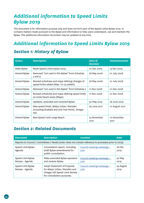# <span id="page-13-0"></span>*Additional information to Speed Limits Bylaw 2019*

This document is for information purpose only and does not form part of the Speed Limits Bylaw 2019. In contains matters made pursuant to the Bylaw and information to help users understand, use and maintain the Bylaw. This additional information document may be updated at any time.

# *Additional information to Speed Limits Bylaw 2019*

## *Section 1: History of Bylaw*

| <b>Action</b> | <b>Description</b>                                                                                 | <b>Date of</b><br><b>Decision</b> | <b>Commencement</b> |
|---------------|----------------------------------------------------------------------------------------------------|-----------------------------------|---------------------|
| Make Bylaw    | Made Speed Limits bylaw 2005.                                                                      | 01 Dec 2005                       | 14 Dec 2005         |
| Amend Bylaw   | Removed "not used in this Bylaw" from Schedule<br>5 and 9.                                         | 28 May 2008                       | 01 July 2008        |
| Amend Bylaw   | Revised schedules and maps defining changes of<br>speed limits added (Map 1 to 23 added).          | 28 May 2008                       | 01 July 2008        |
| Amend Bylaw   | Removed "not used in this Bylaw" from Schedule 2                                                   | 12 Nov 2008                       | 01 Dec 2008         |
| Amend Bylaw   | Revised schedules and maps defining speed limits<br>on some beach areas (Maps).                    | 12 Nov 2008                       | 01 Dec 2008         |
| Amend Bylaw   | Updated, amended and renamed Bylaw.                                                                | 30 May 2019                       | 28 June 2019        |
| Amend Bylaw   | New speed limits, Waipu Urban, Marsden<br>(including Ruakaka and One Tree Point), Vinegar<br>Hill. | 29 June 2021                      | 01 August 2021      |
| Amend Bylaw   | New Speed Limit Langs Beach                                                                        | 25 November<br>2021               | 10 December<br>2021 |

## *Section 2: Related Documents*

| <b>Document</b>                      | <b>Description</b>                                                                                                           | <b>Location</b>                           | Date              |
|--------------------------------------|------------------------------------------------------------------------------------------------------------------------------|-------------------------------------------|-------------------|
|                                      | Reports to Council / committees / Panels (note: does not contain reference to processes prior to 2019)                       |                                           |                   |
| Speed Limit Bylaw -<br>Agenda        | Consultation report, including<br>draft Bylaw amendments for<br>public consultation.                                         | Council meetings webpage -<br>Link        | 28 Feb<br>2019    |
| Speed Limit Bylaw<br>Review - Agenda | Make amended Bylaw operative<br>and rename Bylaw.                                                                            | Council meetings webpage -<br>Link        | 30 May<br>2019    |
| Speed Limit Bylaw<br>Review - Agenda | Adopt Statement of Proposal<br>for Waipu Urban, Marsden and<br>Vinegar Hill Speed Limit Review<br>for consultation purposes. | <u>Council meetings webpage -</u><br>Link | 29 August<br>2019 |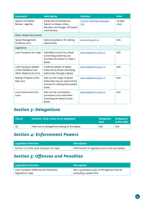<span id="page-14-0"></span>

| <b>Document</b>                                                           | <b>Description</b>                                                                                           | <b>Location</b>                    | <b>Date</b>     |
|---------------------------------------------------------------------------|--------------------------------------------------------------------------------------------------------------|------------------------------------|-----------------|
| Speed Limit Bylaw<br>Review - Agenda                                      | <b>Adopt Recommendations</b><br>Report on Waipu Urban,<br>Marsden and Vinegar Hill Speed<br>I imit Review.   | Council meetings webpage -<br>Link | 24 Sept<br>2020 |
| Other related documents                                                   |                                                                                                              |                                    |                 |
| Speed Management<br>Guidance 2016                                         | National guidance for setting<br>speed limits                                                                | www.nzta.govt.nz                   | N/A             |
| Legislation                                                               |                                                                                                              |                                    |                 |
| Land Transport Act 1998                                                   | Ildentifies Council as a Road<br>Controlling Authority and<br>provides the power to make a<br>Bylaw.         | www.legislation.govt.nz            | N/A             |
| Land Transport (Speed<br>Limits Validation and<br>Other Matters) Act 2015 | Confirms validity of speed<br>limits set by Road Controlling<br>Authorities through a Bylaw.                 | www.legislation.govt.nz            | N/A             |
| Setting of Speed Limits<br><b>Rule 2017</b>                               | Sets out the range of speed<br>limits that may be used and the<br>process for setting those speed<br>limits. | www.legislation.govt.nz            | N/A             |
| <b>Local Government Act</b><br>2002                                       | Sets out the consultation<br>processes to be used when<br>amending the Speed Limits<br>Bylaw.                | www.legislation.govt.nz            | N/A             |

## *Section 3: Delegations*

| Clause | Function, Duty, Power to be delegated            | <b>Delegation</b><br><b>Date</b> | Delegation<br>active date |
|--------|--------------------------------------------------|----------------------------------|---------------------------|
| All    | There are no delegations relating to this Bylaw. | N/A                              | N/A                       |

## *Section 4: Enforcement Powers*

| <b>Legislative Provision</b>               | <b>Description</b>                               |
|--------------------------------------------|--------------------------------------------------|
| Section 113 of the Land Transport Act 1998 | Enforcement of regulations and rules and bylaws. |

## *Section 5: Offences and Penalties*

| Legislative Provision                   | <b>Description</b>                              |
|-----------------------------------------|-------------------------------------------------|
| Land Transport (Offences and Penalties) | Sets a graduated scale of infringement fees for |
| Regulations 1999                        | exceeding a speed limit.                        |